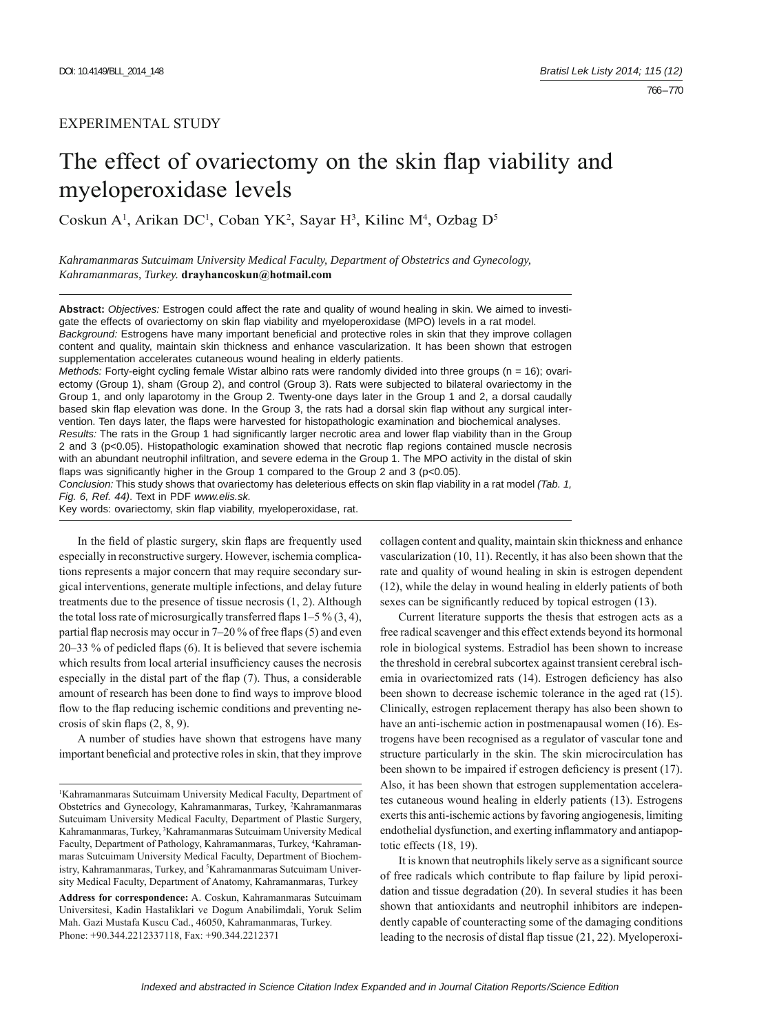# EXPERIMENTAL STUDY

# The effect of ovariectomy on the skin flap viability and myeloperoxidase levels

Coskun A<sup>1</sup>, Arikan DC<sup>1</sup>, Coban YK<sup>2</sup>, Sayar H<sup>3</sup>, Kilinc M<sup>4</sup>, Ozbag D<sup>5</sup>

*Kahramanmaras Sutcuimam University Medical Faculty, Department of Obstetrics and Gynecology, Kahramanmaras, Turkey.* **drayhancoskun@hotmail.com**

**Abstract:** *Objectives:* Estrogen could affect the rate and quality of wound healing in skin. We aimed to investigate the effects of ovariectomy on skin flap viability and myeloperoxidase (MPO) levels in a rat model. *Background:* Estrogens have many important beneficial and protective roles in skin that they improve collagen content and quality, maintain skin thickness and enhance vascularization. It has been shown that estrogen supplementation accelerates cutaneous wound healing in elderly patients.

*Methods:* Forty-eight cycling female Wistar albino rats were randomly divided into three groups (n = 16); ovariectomy (Group 1), sham (Group 2), and control (Group 3). Rats were subjected to bilateral ovariectomy in the Group 1, and only laparotomy in the Group 2. Twenty-one days later in the Group 1 and 2, a dorsal caudally based skin flap elevation was done. In the Group 3, the rats had a dorsal skin flap without any surgical intervention. Ten days later, the flaps were harvested for histopathologic examination and biochemical analyses. *Results:* The rats in the Group 1 had significantly larger necrotic area and lower flap viability than in the Group 2 and 3 (p<0.05). Histopathologic examination showed that necrotic flap regions contained muscle necrosis

with an abundant neutrophil infiltration, and severe edema in the Group 1. The MPO activity in the distal of skin flaps was significantly higher in the Group 1 compared to the Group 2 and 3 ( $p<0.05$ ).

*Conclusion:* This study shows that ovariectomy has deleterious effects on skin flap viability in a rat model *(Tab. 1, Fig. 6, Ref. 44)*. Text in PDF *www.elis.sk.*

Key words: ovariectomy, skin flap viability, myeloperoxidase, rat.

In the field of plastic surgery, skin flaps are frequently used especially in reconstructive surgery. However, ischemia complications represents a major concern that may require secondary surgical interventions, generate multiple infections, and delay future treatments due to the presence of tissue necrosis (1, 2). Although the total loss rate of microsurgically transferred flaps  $1-5\%$  (3, 4), partial flap necrosis may occur in  $7-20\%$  of free flaps (5) and even  $20-33$  % of pedicled flaps (6). It is believed that severe ischemia which results from local arterial insufficiency causes the necrosis especially in the distal part of the flap  $(7)$ . Thus, a considerable amount of research has been done to find ways to improve blood flow to the flap reducing ischemic conditions and preventing necrosis of skin flaps  $(2, 8, 9)$ .

A number of studies have shown that estrogens have many important beneficial and protective roles in skin, that they improve

**Address for correspondence:** A. Coskun, Kahramanmaras Sutcuimam Universitesi, Kadin Hastaliklari ve Dogum Anabilimdali, Yoruk Selim Mah. Gazi Mustafa Kuscu Cad., 46050, Kahramanmaras, Turkey. Phone: +90.344.2212337118, Fax: +90.344.2212371

collagen content and quality, maintain skin thickness and enhance vascularization (10, 11). Recently, it has also been shown that the rate and quality of wound healing in skin is estrogen dependent (12), while the delay in wound healing in elderly patients of both sexes can be significantly reduced by topical estrogen (13).

Current literature supports the thesis that estrogen acts as a free radical scavenger and this effect extends beyond its hormonal role in biological systems. Estradiol has been shown to increase the threshold in cerebral subcortex against transient cerebral ischemia in ovariectomized rats (14). Estrogen deficiency has also been shown to decrease ischemic tolerance in the aged rat (15). Clinically, estrogen replacement therapy has also been shown to have an anti-ischemic action in postmenapausal women (16). Estrogens have been recognised as a regulator of vascular tone and structure particularly in the skin. The skin microcirculation has been shown to be impaired if estrogen deficiency is present (17). Also, it has been shown that estrogen supplementation accelerates cutaneous wound healing in elderly patients (13). Estrogens exerts this anti-ischemic actions by favoring angiogenesis, limiting endothelial dysfunction, and exerting inflammatory and antiapoptotic effects (18, 19).

It is known that neutrophils likely serve as a significant source of free radicals which contribute to flap failure by lipid peroxidation and tissue degradation (20). In several studies it has been shown that antioxidants and neutrophil inhibitors are independently capable of counteracting some of the damaging conditions leading to the necrosis of distal flap tissue  $(21, 22)$ . Myeloperoxi-

<sup>&</sup>lt;sup>1</sup> Kahramanmaras Sutcuimam University Medical Faculty, Department of Obstetrics and Gynecology, Kahramanmaras, Turkey, 2 Kahramanmaras Sutcuimam University Medical Faculty, Department of Plastic Surgery, Kahramanmaras, Turkey, <sup>3</sup>Kahramanmaras Sutcuimam University Medical Faculty, Department of Pathology, Kahramanmaras, Turkey, <sup>4</sup>Kahramanmaras Sutcuimam University Medical Faculty, Department of Biochemistry, Kahramanmaras, Turkey, and <sup>5</sup>Kahramanmaras Sutcuimam University Medical Faculty, Department of Anatomy, Kahramanmaras, Turkey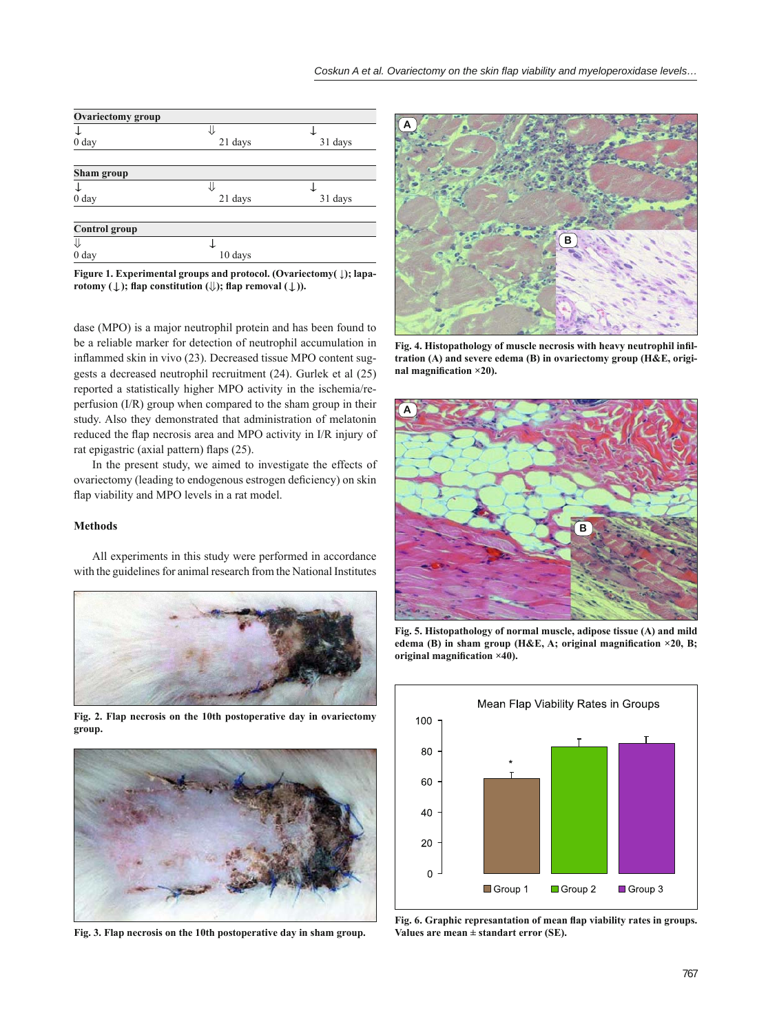| <b>Ovariectomy group</b> |         |         |  |  |  |  |
|--------------------------|---------|---------|--|--|--|--|
|                          | JI      |         |  |  |  |  |
| 0 <sub>day</sub>         | 21 days | 31 days |  |  |  |  |
|                          |         |         |  |  |  |  |
| Sham group               |         |         |  |  |  |  |
|                          | JI      |         |  |  |  |  |
| 0 <sub>day</sub>         | 21 days | 31 days |  |  |  |  |
|                          |         |         |  |  |  |  |
| <b>Control</b> group     |         |         |  |  |  |  |
| ⇓                        |         |         |  |  |  |  |
| 0 <sub>day</sub>         | 10 days |         |  |  |  |  |

**Figure 1. Experimental groups and protocol. (Ovariectomy( ↓); laparotomy**  $(\downarrow)$ ; flap constitution  $(\downarrow)$ ; flap removal  $(\downarrow)$ ).

dase (MPO) is a major neutrophil protein and has been found to be a reliable marker for detection of neutrophil accumulation in inflammed skin in vivo (23). Decreased tissue MPO content suggests a decreased neutrophil recruitment (24). Gurlek et al (25) reported a statistically higher MPO activity in the ischemia/reperfusion (I/R) group when compared to the sham group in their study. Also they demonstrated that administration of melatonin reduced the flap necrosis area and MPO activity in I/R injury of rat epigastric (axial pattern) flaps (25).

In the present study, we aimed to investigate the effects of ovariectomy (leading to endogenous estrogen deficiency) on skin flap viability and MPO levels in a rat model.

# **Methods**

All experiments in this study were performed in accordance with the guidelines for animal research from the National Institutes



**Fig. 2. Flap necrosis on the 10th postoperative day in ovariectomy group.**



**Fig. 3. Flap necrosis on the 10th postoperative day in sham group.**



Fig. 4. Histopathology of muscle necrosis with heavy neutrophil infil**tration (A) and severe edema (B) in ovariectomy group (H&E, origi**nal magnification ×20).



**Fig. 5. Histopathology of normal muscle, adipose tissue (A) and mild**  edema (B) in sham group (H&E, A; original magnification ×20, B; original magnification ×40).

![](_page_1_Figure_15.jpeg)

Fig. 6. Graphic represantation of mean flap viability rates in groups. **Values are mean ± standart error (SE).**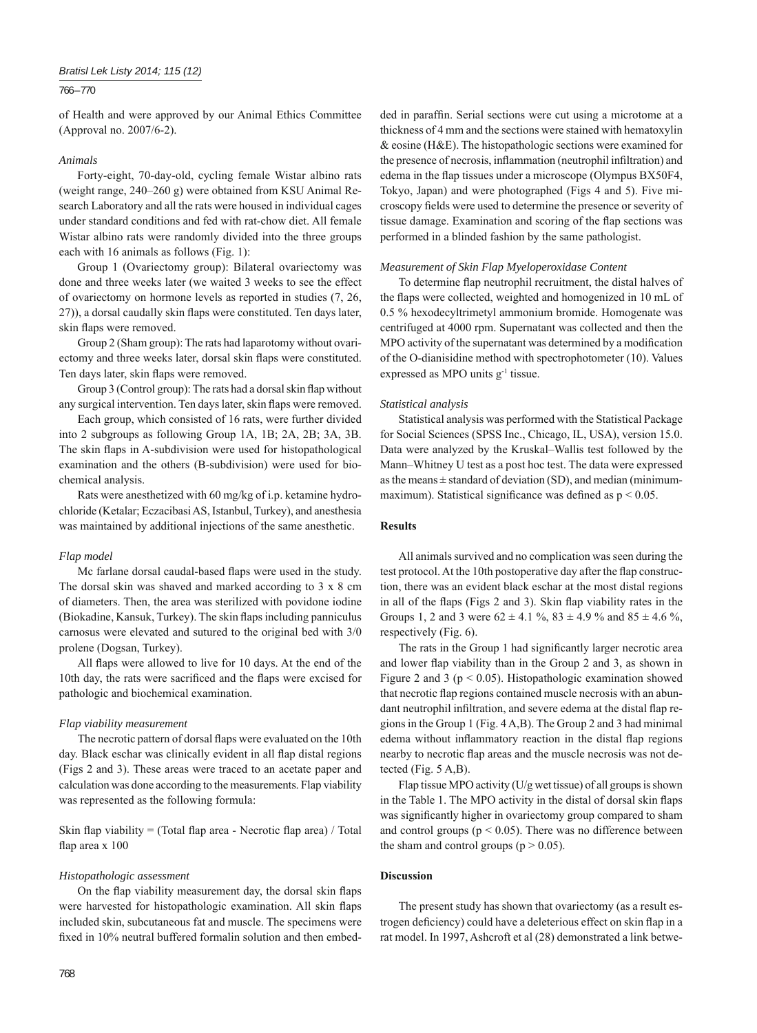# *Bratisl Lek Listy 2014; 115 (12)*

#### 766 – 770

of Health and were approved by our Animal Ethics Committee (Approval no. 2007/6-2).

### *Animals*

Forty-eight, 70-day-old, cycling female Wistar albino rats (weight range, 240–260 g) were obtained from KSU Animal Research Laboratory and all the rats were housed in individual cages under standard conditions and fed with rat-chow diet. All female Wistar albino rats were randomly divided into the three groups each with 16 animals as follows (Fig. 1):

Group 1 (Ovariectomy group): Bilateral ovariectomy was done and three weeks later (we waited 3 weeks to see the effect of ovariectomy on hormone levels as reported in studies (7, 26, 27)), a dorsal caudally skin flaps were constituted. Ten days later, skin flaps were removed.

Group 2 (Sham group): The rats had laparotomy without ovariectomy and three weeks later, dorsal skin flaps were constituted. Ten days later, skin flaps were removed.

Group 3 (Control group): The rats had a dorsal skin flap without any surgical intervention. Ten days later, skin flaps were removed.

Each group, which consisted of 16 rats, were further divided into 2 subgroups as following Group 1A, 1B; 2A, 2B; 3A, 3B. The skin flaps in A-subdivision were used for histopathological examination and the others (B-subdivision) were used for biochemical analysis.

Rats were anesthetized with 60 mg/kg of i.p. ketamine hydrochloride (Ketalar; Eczacibasi AS, Istanbul, Turkey), and anesthesia was maintained by additional injections of the same anesthetic.

#### *Flap model*

Mc farlane dorsal caudal-based flaps were used in the study. The dorsal skin was shaved and marked according to 3 x 8 cm of diameters. Then, the area was sterilized with povidone iodine (Biokadine, Kansuk, Turkey). The skin flaps including panniculus carnosus were elevated and sutured to the original bed with 3/0 prolene (Dogsan, Turkey).

All flaps were allowed to live for 10 days. At the end of the 10th day, the rats were sacrificed and the flaps were excised for pathologic and biochemical examination.

#### *Flap viability measurement*

The necrotic pattern of dorsal flaps were evaluated on the 10th day. Black eschar was clinically evident in all flap distal regions (Figs 2 and 3). These areas were traced to an acetate paper and calculation was done according to the measurements. Flap viability was represented as the following formula:

Skin flap viability = (Total flap area - Necrotic flap area) / Total flap area x 100

#### *Histopathologic assessment*

On the flap viability measurement day, the dorsal skin flaps were harvested for histopathologic examination. All skin flaps included skin, subcutaneous fat and muscle. The specimens were fixed in 10% neutral buffered formalin solution and then embedded in paraffin. Serial sections were cut using a microtome at a thickness of 4 mm and the sections were stained with hematoxylin & eosine (H&E). The histopathologic sections were examined for the presence of necrosis, inflammation (neutrophil infiltration) and edema in the flap tissues under a microscope (Olympus BX50F4, Tokyo, Japan) and were photographed (Figs 4 and 5). Five microscopy fields were used to determine the presence or severity of tissue damage. Examination and scoring of the flap sections was performed in a blinded fashion by the same pathologist.

#### *Measurement of Skin Flap Myeloperoxidase Content*

To determine flap neutrophil recruitment, the distal halves of the flaps were collected, weighted and homogenized in 10 mL of 0.5 % hexodecyltrimetyl ammonium bromide. Homogenate was centrifuged at 4000 rpm. Supernatant was collected and then the MPO activity of the supernatant was determined by a modification of the O-dianisidine method with spectrophotometer (10). Values expressed as MPO units  $g^{-1}$  tissue.

#### *Statistical analysis*

Statistical analysis was performed with the Statistical Package for Social Sciences (SPSS Inc., Chicago, IL, USA), version 15.0. Data were analyzed by the Kruskal–Wallis test followed by the Mann–Whitney U test as a post hoc test. The data were expressed as the means  $\pm$  standard of deviation (SD), and median (minimummaximum). Statistical significance was defined as  $p \le 0.05$ .

#### **Results**

All animals survived and no complication was seen during the test protocol. At the 10th postoperative day after the flap construction, there was an evident black eschar at the most distal regions in all of the flaps (Figs 2 and 3). Skin flap viability rates in the Groups 1, 2 and 3 were  $62 \pm 4.1$  %,  $83 \pm 4.9$  % and  $85 \pm 4.6$  %, respectively (Fig. 6).

The rats in the Group 1 had significantly larger necrotic area and lower flap viability than in the Group 2 and 3, as shown in Figure 2 and 3 ( $p < 0.05$ ). Histopathologic examination showed that necrotic flap regions contained muscle necrosis with an abundant neutrophil infiltration, and severe edema at the distal flap regions in the Group 1 (Fig. 4 A,B). The Group 2 and 3 had minimal edema without inflammatory reaction in the distal flap regions nearby to necrotic flap areas and the muscle necrosis was not detected (Fig. 5 A,B).

Flap tissue MPO activity (U/g wet tissue) of all groups is shown in the Table 1. The MPO activity in the distal of dorsal skin flaps was significantly higher in ovariectomy group compared to sham and control groups ( $p < 0.05$ ). There was no difference between the sham and control groups ( $p > 0.05$ ).

#### **Discussion**

The present study has shown that ovariectomy (as a result estrogen deficiency) could have a deleterious effect on skin flap in a rat model. In 1997, Ashcroft et al (28) demonstrated a link betwe-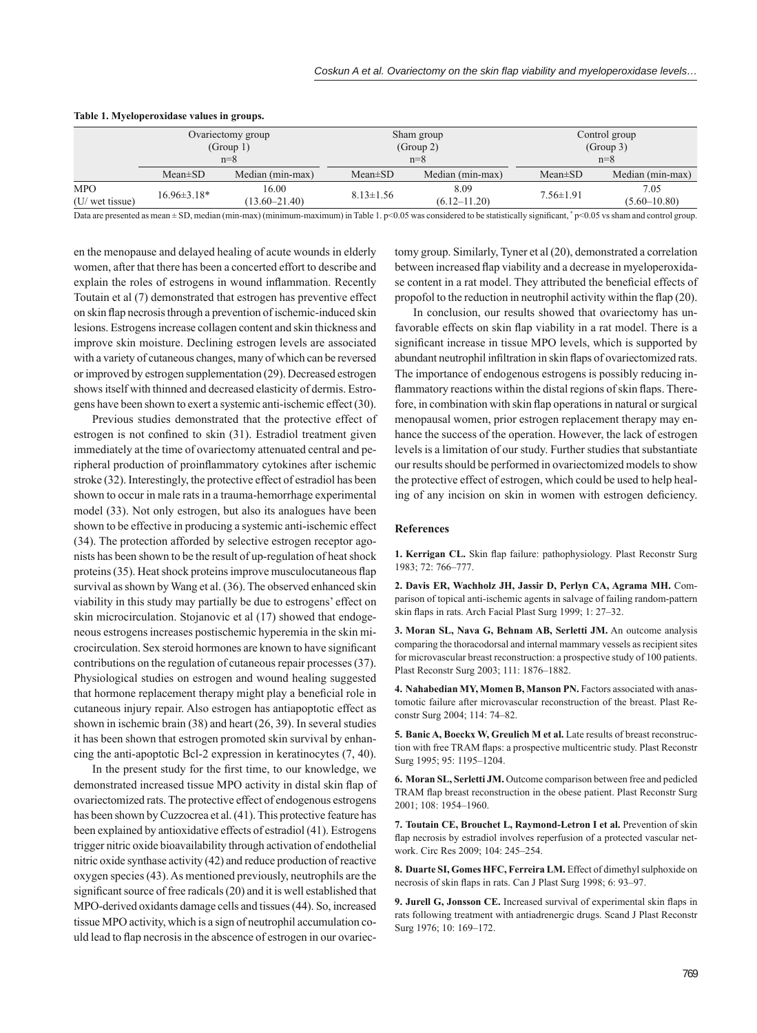|                 | Ovariectomy group |                   | Sham group      |                  | Control group   |                  |
|-----------------|-------------------|-------------------|-----------------|------------------|-----------------|------------------|
|                 | (Group 1)         |                   | (Group 2)       |                  | (Group 3)       |                  |
|                 | $n=8$             |                   | $n=8$           |                  | $n=8$           |                  |
|                 | $Mean \pm SD$     | Median (min-max)  | $Mean \pm SD$   | Median (min-max) | $Mean \pm SD$   | Median (min-max) |
| <b>MPO</b>      | $16.96 \pm 3.18*$ | 16.00             | $8.13 \pm 1.56$ | 8.09             | $7.56 \pm 1.91$ | 7.05             |
| (U/ wet tissue) |                   | $(13.60 - 21.40)$ |                 | $(6.12 - 11.20)$ |                 | $(5.60 - 10.80)$ |

#### **Table 1. Myeloperoxidase values in groups.**

Data are presented as mean  $\pm$  SD, median (min-max) (minimum-maximum) in Table 1. p<0.05 was considered to be statistically significant, \* p<0.05 vs sham and control group.

en the menopause and delayed healing of acute wounds in elderly women, after that there has been a concerted effort to describe and explain the roles of estrogens in wound inflammation. Recently Toutain et al (7) demonstrated that estrogen has preventive effect on skin flap necrosis through a prevention of ischemic-induced skin lesions. Estrogens increase collagen content and skin thickness and improve skin moisture. Declining estrogen levels are associated with a variety of cutaneous changes, many of which can be reversed or improved by estrogen supplementation (29). Decreased estrogen shows itself with thinned and decreased elasticity of dermis. Estrogens have been shown to exert a systemic anti-ischemic effect (30).

Previous studies demonstrated that the protective effect of estrogen is not confined to skin (31). Estradiol treatment given immediately at the time of ovariectomy attenuated central and peripheral production of proinflammatory cytokines after ischemic stroke (32). Interestingly, the protective effect of estradiol has been shown to occur in male rats in a trauma-hemorrhage experimental model (33). Not only estrogen, but also its analogues have been shown to be effective in producing a systemic anti-ischemic effect (34). The protection afforded by selective estrogen receptor agonists has been shown to be the result of up-regulation of heat shock proteins (35). Heat shock proteins improve musculocutaneous flap survival as shown by Wang et al. (36). The observed enhanced skin viability in this study may partially be due to estrogens' effect on skin microcirculation. Stojanovic et al (17) showed that endogeneous estrogens increases postischemic hyperemia in the skin microcirculation. Sex steroid hormones are known to have significant contributions on the regulation of cutaneous repair processes (37). Physiological studies on estrogen and wound healing suggested that hormone replacement therapy might play a beneficial role in cutaneous injury repair. Also estrogen has antiapoptotic effect as shown in ischemic brain (38) and heart (26, 39). In several studies it has been shown that estrogen promoted skin survival by enhancing the anti-apoptotic Bcl-2 expression in keratinocytes (7, 40).

In the present study for the first time, to our knowledge, we demonstrated increased tissue MPO activity in distal skin flap of ovariectomized rats. The protective effect of endogenous estrogens has been shown by Cuzzocrea et al. (41). This protective feature has been explained by antioxidative effects of estradiol (41). Estrogens trigger nitric oxide bioavailability through activation of endothelial nitric oxide synthase activity (42) and reduce production of reactive oxygen species (43). As mentioned previously, neutrophils are the significant source of free radicals (20) and it is well established that MPO-derived oxidants damage cells and tissues (44). So, increased tissue MPO activity, which is a sign of neutrophil accumulation could lead to flap necrosis in the abscence of estrogen in our ovariec-

tomy group. Similarly, Tyner et al (20), demonstrated a correlation between increased flap viability and a decrease in myeloperoxidase content in a rat model. They attributed the beneficial effects of propofol to the reduction in neutrophil activity within the flap (20).

In conclusion, our results showed that ovariectomy has unfavorable effects on skin flap viability in a rat model. There is a significant increase in tissue MPO levels, which is supported by abundant neutrophil infiltration in skin flaps of ovariectomized rats. The importance of endogenous estrogens is possibly reducing inflammatory reactions within the distal regions of skin flaps. Therefore, in combination with skin flap operations in natural or surgical menopausal women, prior estrogen replacement therapy may enhance the success of the operation. However, the lack of estrogen levels is a limitation of our study. Further studies that substantiate our results should be performed in ovariectomized models to show the protective effect of estrogen, which could be used to help healing of any incision on skin in women with estrogen deficiency.

#### **References**

1. Kerrigan CL. Skin flap failure: pathophysiology. Plast Reconstr Surg 1983; 72: 766–777.

**2. Davis ER, Wachholz JH, Jassir D, Perlyn CA, Agrama MH.** Comparison of topical anti-ischemic agents in salvage of failing random-pattern skin flaps in rats. Arch Facial Plast Surg 1999; 1: 27–32.

**3. Moran SL, Nava G, Behnam AB, Serletti JM.** An outcome analysis comparing the thoracodorsal and internal mammary vessels as recipient sites for microvascular breast reconstruction: a prospective study of 100 patients. Plast Reconstr Surg 2003; 111: 1876–1882.

**4. Nahabedian MY, Momen B, Manson PN.** Factors associated with anastomotic failure after microvascular reconstruction of the breast. Plast Reconstr Surg 2004; 114: 74–82.

**5. Banic A, Boeckx W, Greulich M et al.** Late results of breast reconstruction with free TRAM flaps: a prospective multicentric study. Plast Reconstr Surg 1995; 95: 1195–1204.

**6. Moran SL, Serletti JM.** Outcome comparison between free and pedicled TRAM flap breast reconstruction in the obese patient. Plast Reconstr Surg 2001; 108: 1954–1960.

**7. Toutain CE, Brouchet L, Raymond-Letron I et al.** Prevention of skin flap necrosis by estradiol involves reperfusion of a protected vascular network. Circ Res 2009; 104: 245–254.

**8. Duarte SI, Gomes HFC, Ferreira LM.** Effect of dimethyl sulphoxide on necrosis of skin flaps in rats. Can J Plast Surg 1998; 6: 93-97.

9. Jurell G, Jonsson CE. Increased survival of experimental skin flaps in rats following treatment with antiadrenergic drugs. Scand J Plast Reconstr Surg 1976; 10: 169–172.